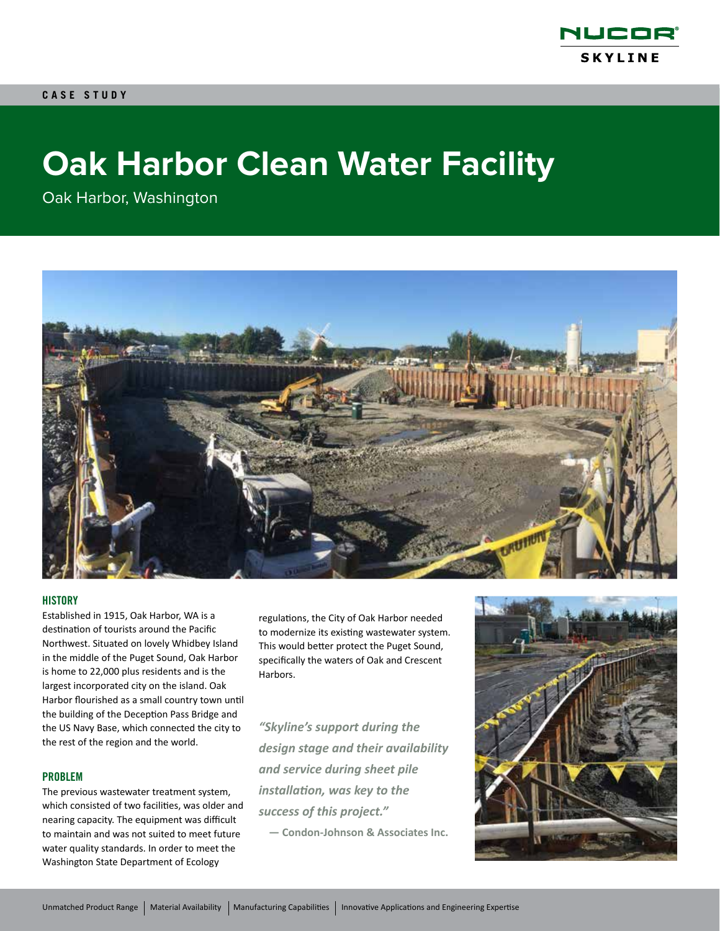

# **Oak Harbor Clean Water Facility**

Oak Harbor, Washington



### **HISTORY**

Established in 1915, Oak Harbor, WA is a destination of tourists around the Pacific Northwest. Situated on lovely Whidbey Island in the middle of the Puget Sound, Oak Harbor is home to 22,000 plus residents and is the largest incorporated city on the island. Oak Harbor flourished as a small country town until the building of the Deception Pass Bridge and the US Navy Base, which connected the city to the rest of the region and the world.

#### PROBLEM

The previous wastewater treatment system, which consisted of two facilities, was older and nearing capacity. The equipment was difficult to maintain and was not suited to meet future water quality standards. In order to meet the Washington State Department of Ecology

regulations, the City of Oak Harbor needed to modernize its existing wastewater system. This would better protect the Puget Sound, specifically the waters of Oak and Crescent Harbors.

*"Skyline's support during the design stage and their availability and service during sheet pile installation, was key to the success of this project."*

**— Condon-Johnson & Associates Inc.**